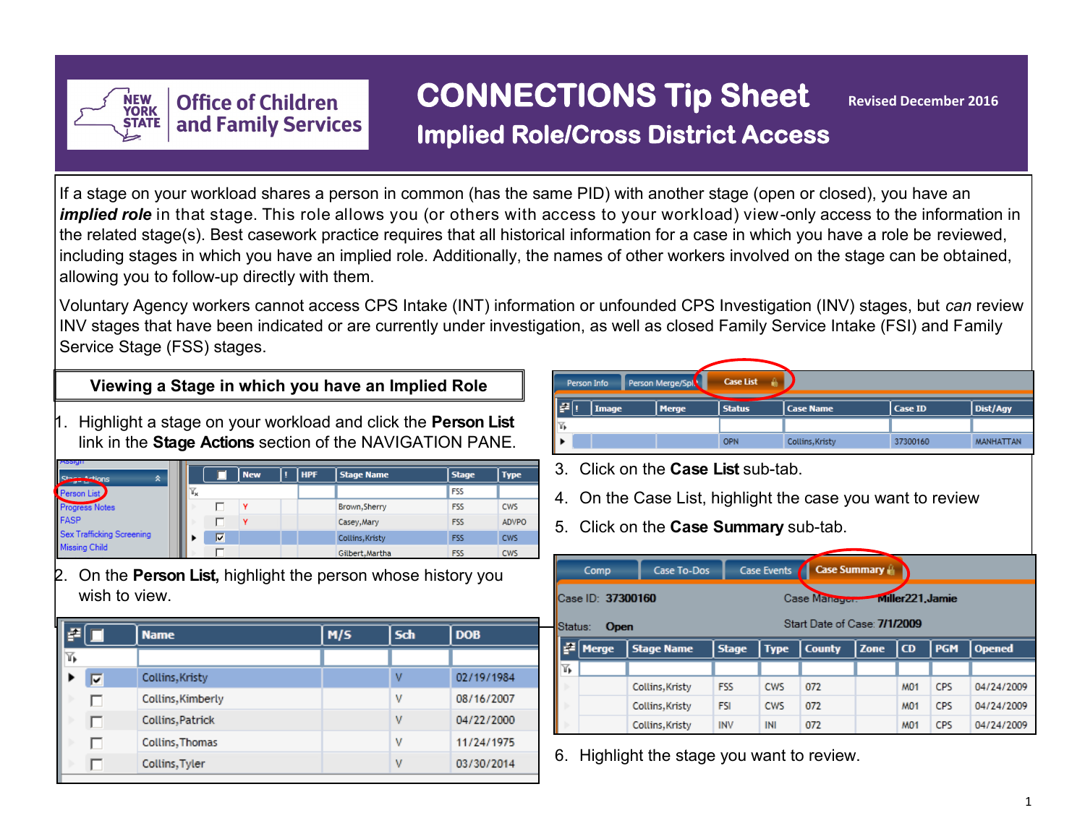

# **CONNECTIONS Tip Sheet Revised December 2016**

**Implied Role/Cross District Access** 

If a stage on your workload shares a person in common (has the same PID) with another stage (open or closed), you have an *implied role* in that stage. This role allows you (or others with access to your workload) view-only access to the information in the related stage(s). Best casework practice requires that all historical information for a case in which you have a role be reviewed, including stages in which you have an implied role. Additionally, the names of other workers involved on the stage can be obtained, allowing you to follow-up directly with them.

Voluntary Agency workers cannot access CPS Intake (INT) information or unfounded CPS Investigation (INV) stages, but *can* review INV stages that have been indicated or are currently under investigation, as well as closed Family Service Intake (FSI) and Family Service Stage (FSS) stages.

# **Viewing a Stage in which you have an Implied Role**

1. Highlight a stage on your workload and click the **Person List**  link in the **Stage Actions** section of the NAVIGATION PANE.

| Assign<br>Stage<br>$\hat{\mathbf{x}}$ |                           |   | <b>New</b> | HPF | <b>Stage Name</b> | <b>Stage</b> | <b>Type</b>  |
|---------------------------------------|---------------------------|---|------------|-----|-------------------|--------------|--------------|
|                                       | $\mathbb{Y}_{\mathbf{x}}$ |   |            |     |                   | <b>FSS</b>   |              |
| Person List<br>Progress Notes<br>FASP |                           |   |            |     | Brown, Sherry     | <b>FSS</b>   | <b>CWS</b>   |
|                                       |                           |   |            |     | Casey, Mary       | <b>FSS</b>   | <b>ADVPO</b> |
| Sex Trafficking Screening             |                           | ᢑ |            |     | Collins, Kristy   | <b>FSS</b>   | <b>CWS</b>   |
| Missing Child                         |                           |   |            |     | Gilbert, Martha   | <b>FSS</b>   | <b>CWS</b>   |

2. On the **Person List,** highlight the person whose history you wish to view.

| F |      | <b>Name</b>       | M/S | Sch | <b>DOB</b> |
|---|------|-------------------|-----|-----|------------|
| ℡ |      |                   |     |     |            |
|   | ⊽    | Collins, Kristy   |     | v   | 02/19/1984 |
|   |      | Collins, Kimberly |     | v   | 08/16/2007 |
|   | 4. p | Collins, Patrick  |     | v   | 04/22/2000 |
|   | U    | Collins, Thomas   |     | v   | 11/24/1975 |
|   |      | Collins, Tyler    |     | v   | 03/30/2014 |

|     | Person Info | Person Merge/Spl | <b>Case List</b> |                  |          |                  |
|-----|-------------|------------------|------------------|------------------|----------|------------------|
| F   | Image       | <b>Merge</b>     | <b>Status</b>    | <b>Case Name</b> | Case ID  | Dist/Agy         |
| ۱T. |             |                  |                  |                  |          |                  |
|     |             |                  | <b>OPN</b>       | Collins, Kristy  | 37300160 | <b>MANHATTAN</b> |

- 3. Click on the **Case List** sub-tab.
- 4. On the Case List, highlight the case you want to review
- 5. Click on the **Case Summary** sub-tab.

|         | Comp              | Case To-Dos       |              | Case Events |                              | <b>Case Summary A</b> |                  |            |               |
|---------|-------------------|-------------------|--------------|-------------|------------------------------|-----------------------|------------------|------------|---------------|
|         | Case ID: 37300160 |                   |              |             | Case Manager.                |                       | Miller221, Jamie |            |               |
| Status: | <b>Open</b>       |                   |              |             | Start Date of Case: 7/1/2009 |                       |                  |            |               |
| le.     | <b>Merge</b>      | <b>Stage Name</b> | <b>Stage</b> | <b>Type</b> | <b>County</b>                | <b>Zone</b>           | l CD             | <b>PGM</b> | <b>Opened</b> |
| Δ.      |                   |                   |              |             |                              |                       |                  |            |               |
|         |                   | Collins, Kristy   | <b>FSS</b>   | <b>CWS</b>  | 072                          |                       | <b>M01</b>       | CPS        | 04/24/2009    |
|         |                   | Collins, Kristy   | <b>FSI</b>   | <b>CWS</b>  | 072                          |                       | <b>M01</b>       | <b>CPS</b> | 04/24/2009    |
|         |                   | Collins, Kristy   | <b>INV</b>   | INI         | 072                          |                       | <b>M01</b>       | <b>CPS</b> | 04/24/2009    |

6. Highlight the stage you want to review.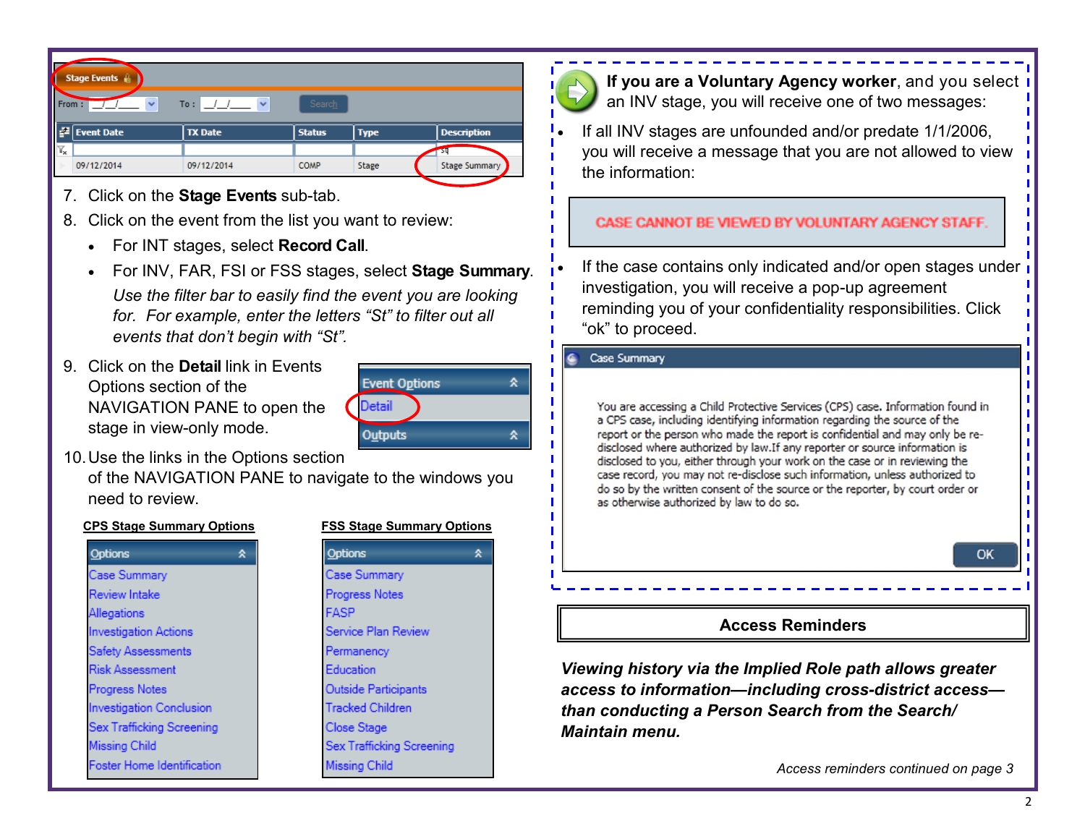|                           | Stage Events (    |                             |               |             |                      |
|---------------------------|-------------------|-----------------------------|---------------|-------------|----------------------|
| From:                     | $\checkmark$      | $\ddot{\phantom{1}}$<br>To: | Search        |             |                      |
| I₽                        | <b>Event Date</b> | <b>TX Date</b>              | <b>Status</b> | <b>Type</b> | <b>Description</b>   |
| $\mathbb{Y}_{\mathbf{x}}$ |                   |                             |               |             |                      |
|                           | 09/12/2014        | 09/12/2014                  | <b>COMP</b>   | Stage       | <b>Stage Summary</b> |

- 7. Click on the **Stage Events** sub-tab.
- 8. Click on the event from the list you want to review:
	- For INT stages, select **Record Call**.
	- For INV, FAR, FSI or FSS stages, select **Stage Summary**. *Use the filter bar to easily find the event you are looking for. For example, enter the letters "St" to filter out all events that don't begin with "St".*
- 9. Click on the **Detail** link in Events Options section of the NAVIGATION PANE to open the stage in view-only mode.



10.Use the links in the Options section of the NAVIGATION PANE to navigate to the windows you need to review.

#### **CPS Stage Summary Options FSS Stage Summary Options**

| Options                           |
|-----------------------------------|
| Case Summary                      |
| <b>Review Intake</b>              |
| Allegations                       |
| Investigation Actions             |
| <b>Safety Assessments</b>         |
| <b>Risk Assessment</b>            |
| <b>Progress Notes</b>             |
| <b>Investigation Conclusion</b>   |
| Sex Trafficking Screening         |
| <b>Missing Child</b>              |
| <b>Foster Home Identification</b> |





**If you are a Voluntary Agency worker**, and you select **i** an INV stage, you will receive one of two messages:

 If all INV stages are unfounded and/or predate 1/1/2006, you will receive a message that you are not allowed to view the information:

#### CASE CANNOT BE VIEWED BY VOLUNTARY AGENCY STAFF

If the case contains only indicated and/or open stages under investigation, you will receive a pop-up agreement reminding you of your confidentiality responsibilities. Click "ok" to proceed.

#### **Case Summary**

You are accessing a Child Protective Services (CPS) case. Information found in a CPS case, including identifying information regarding the source of the report or the person who made the report is confidential and may only be redisclosed where authorized by law.If any reporter or source information is disclosed to you, either through your work on the case or in reviewing the case record, you may not re-disclose such information, unless authorized to do so by the written consent of the source or the reporter, by court order or as otherwise authorized by law to do so.



### **Access Reminders**

*Viewing history via the Implied Role path allows greater access to information—including cross-district access than conducting a Person Search from the Search/ Maintain menu.* 

*Access reminders continued on page 3*